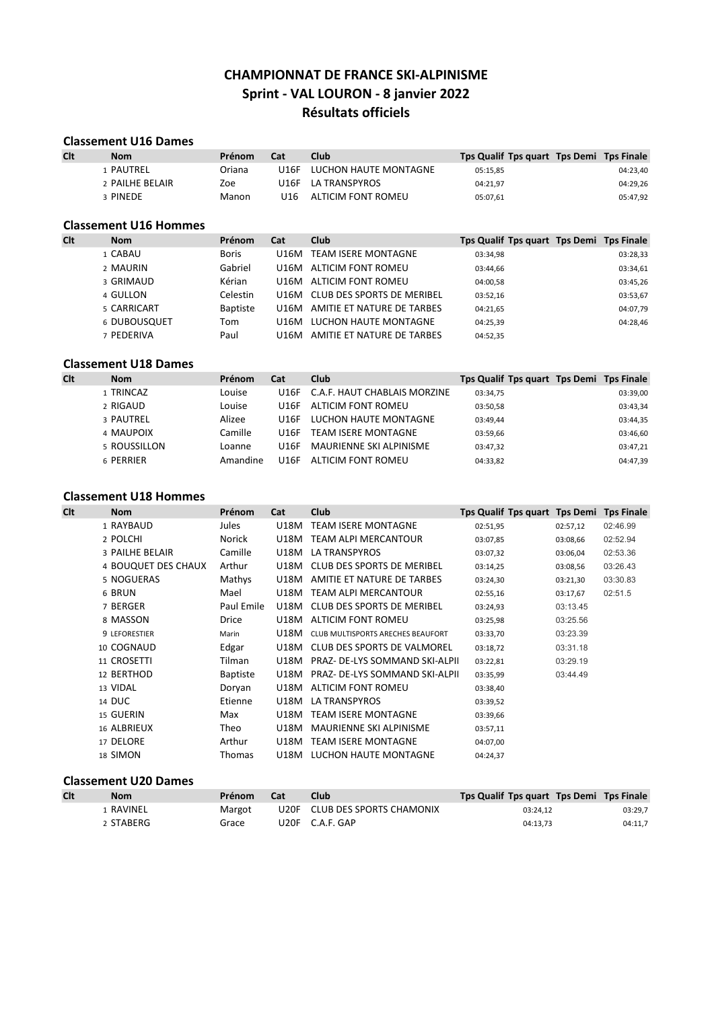## CHAMPIONNAT DE FRANCE SKI-ALPINISME Sprint - VAL LOURON - 8 janvier 2022 Résultats officiels

# Classement U16 Dames<br>Clt Nom

| Clt | <b>Nom</b>      | Prénom | Cat   | Club                  | Tps Qualif Tps quart Tps Demi Tps Finale |          |
|-----|-----------------|--------|-------|-----------------------|------------------------------------------|----------|
|     | 1 PAUTREL       | Oriana | 1116F | LUCHON HAUTE MONTAGNE | 05:15.85                                 | 04:23,40 |
|     | 2 PAILHE BELAIR | Zoe    |       | U16F LA TRANSPYROS    | 04:21.97                                 | 04:29,26 |
|     | 3 PINEDE        | Manon  | J16.  | ALTICIM FONT ROMEU    | 05:07,61                                 | 05:47,92 |

|     | <b>Classement U16 Hommes</b> |                 |      |                            |                                          |  |          |  |  |  |
|-----|------------------------------|-----------------|------|----------------------------|------------------------------------------|--|----------|--|--|--|
| Clt | <b>Nom</b>                   | Prénom          | Cat  | Club                       | Tps Qualif Tps quart Tps Demi Tps Finale |  |          |  |  |  |
|     | 1 CABAU                      | <b>Boris</b>    | U16M | TEAM ISERE MONTAGNE        | 03:34,98                                 |  | 03:28,33 |  |  |  |
|     | 2 MAURIN                     | Gabriel         | U16M | ALTICIM FONT ROMEU         | 03:44,66                                 |  | 03:34,61 |  |  |  |
|     | 3 GRIMAUD                    | Kérian          | U16M | ALTICIM FONT ROMEU         | 04:00.58                                 |  | 03:45,26 |  |  |  |
|     | 4 GULLON                     | Celestin        | U16M | CLUB DES SPORTS DE MERIBEL | 03:52.16                                 |  | 03:53,67 |  |  |  |
|     | 5 CARRICART                  | <b>Baptiste</b> | U16M | AMITIE ET NATURE DE TARBES | 04:21.65                                 |  | 04:07,79 |  |  |  |
|     | 6 DUBOUSQUET                 | Tom             | U16M | LUCHON HAUTE MONTAGNE      | 04:25.39                                 |  | 04:28,46 |  |  |  |
|     | 7 PEDERIVA                   | Paul            | U16M | AMITIE ET NATURE DE TARBES | 04:52,35                                 |  |          |  |  |  |

### Classement U18 Dames

| Clt | <b>Nom</b>   | Prénom   | Cat         | Club                         | Tps Qualif Tps quart Tps Demi Tps Finale |          |
|-----|--------------|----------|-------------|------------------------------|------------------------------------------|----------|
|     | 1 TRINCAZ    | Louise   | U16F        | C.A.F. HAUT CHABLAIS MORZINE | 03:34,75                                 | 03:39,00 |
|     | 2 RIGAUD     | Louise   | <b>U16F</b> | ALTICIM FONT ROMEU           | 03:50,58                                 | 03:43,34 |
|     | 3 PAUTREL    | Alizee   | <b>U16F</b> | LUCHON HAUTE MONTAGNE        | 03:49,44                                 | 03:44,35 |
|     | 4 MAUPOIX    | Camille  | U16F        | <b>TEAM ISERE MONTAGNE</b>   | 03:59.66                                 | 03:46,60 |
|     | 5 ROUSSILLON | Loanne   | <b>U16F</b> | MAURIENNE SKI ALPINISME      | 03:47.32                                 | 03:47,21 |
|     | 6 PERRIER    | Amandine | U16F        | ALTICIM FONT ROMEU           | 04:33,82                                 | 04:47,39 |

### Classement U18 Hommes

| Clt | <b>Nom</b>          | Prénom          | Cat  | <b>Club</b>                       | Tps Qualif Tps quart Tps Demi Tps Finale |          |          |
|-----|---------------------|-----------------|------|-----------------------------------|------------------------------------------|----------|----------|
|     | 1 RAYBAUD           | <b>Jules</b>    | U18M | <b>TEAM ISERE MONTAGNE</b>        | 02:51,95                                 | 02:57,12 | 02:46.99 |
|     | 2 POLCHI            | Norick          | U18M | <b>TEAM ALPI MERCANTOUR</b>       | 03:07,85                                 | 03:08,66 | 02:52.94 |
|     | 3 PAILHE BELAIR     | Camille         | U18M | LA TRANSPYROS                     | 03:07,32                                 | 03:06,04 | 02:53.36 |
|     | 4 BOUQUET DES CHAUX | Arthur          | U18M | CLUB DES SPORTS DE MERIBEL        | 03:14,25                                 | 03:08,56 | 03:26.43 |
|     | 5 NOGUERAS          | Mathys          | U18M | AMITIE ET NATURE DE TARBES        | 03:24,30                                 | 03:21,30 | 03:30.83 |
|     | 6 BRUN              | Mael            | U18M | TEAM ALPI MERCANTOUR              | 02:55,16                                 | 03:17,67 | 02:51.5  |
|     | 7 BERGER            | Paul Emile      | U18M | CLUB DES SPORTS DE MERIBEL        | 03:24,93                                 | 03:13.45 |          |
|     | 8 MASSON            | Drice           | U18M | ALTICIM FONT ROMEU                | 03:25,98                                 | 03:25.56 |          |
|     | 9 LEFORESTIER       | Marin           | U18M | CLUB MULTISPORTS ARECHES BEAUFORT | 03:33,70                                 | 03:23.39 |          |
|     | 10 COGNAUD          | Edgar           | U18M | CLUB DES SPORTS DE VALMOREL       | 03:18,72                                 | 03:31.18 |          |
|     | 11 CROSETTI         | Tilman          | U18M | PRAZ- DE-LYS SOMMAND SKI-ALPII    | 03:22,81                                 | 03:29.19 |          |
|     | 12 BERTHOD          | <b>Baptiste</b> | U18M | PRAZ- DE-LYS SOMMAND SKI-ALPII    | 03:35,99                                 | 03:44.49 |          |
|     | 13 VIDAL            | Doryan          | U18M | ALTICIM FONT ROMEU                | 03:38,40                                 |          |          |
|     | 14 DUC              | Etienne         | U18M | LA TRANSPYROS                     | 03:39,52                                 |          |          |
|     | 15 GUERIN           | Max             | U18M | <b>TEAM ISERE MONTAGNE</b>        | 03:39,66                                 |          |          |
|     | 16 ALBRIEUX         | Theo            | U18M | MAURIENNE SKI ALPINISME           | 03:57,11                                 |          |          |
|     | 17 DELORE           | Arthur          | U18M | <b>TEAM ISERE MONTAGNE</b>        | 04:07,00                                 |          |          |
|     | 18 SIMON            | <b>Thomas</b>   | U18M | LUCHON HAUTE MONTAGNE             | 04:24,37                                 |          |          |

### Classement U20 Dames

| Clt | Nom       | <b>Prénom</b> | <b>Cat</b> | <b>Club</b>                   | Tps Qualif Tps quart Tps Demi Tps Finale |         |
|-----|-----------|---------------|------------|-------------------------------|------------------------------------------|---------|
|     | RAVINEL   | Margot        |            | U20F CLUB DES SPORTS CHAMONIX | 03:24.12                                 | 03:29.7 |
|     | 2 STABERG | Grace         |            | U20F C.A.F. GAP               | 04:13.73                                 | 04:11,7 |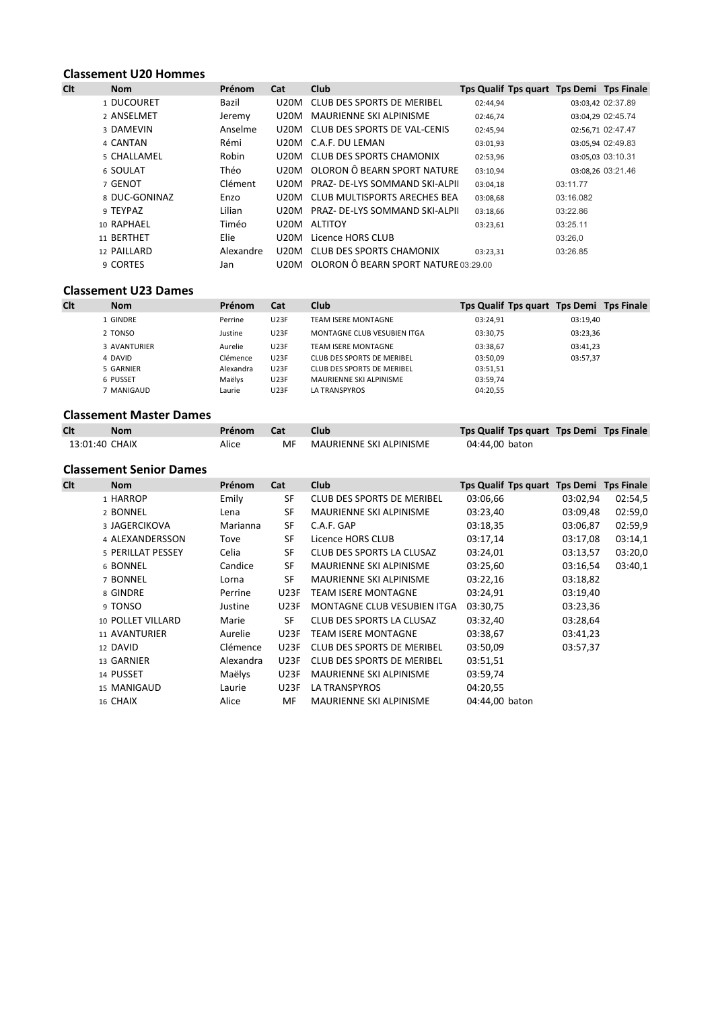|     | <b>Classement U20 Hommes</b> |           |      |                                      |          |                                          |  |  |  |  |  |
|-----|------------------------------|-----------|------|--------------------------------------|----------|------------------------------------------|--|--|--|--|--|
| Clt | <b>Nom</b>                   | Prénom    | Cat  | <b>Club</b>                          |          | Tps Qualif Tps quart Tps Demi Tps Finale |  |  |  |  |  |
|     | 1 DUCOURET                   | Bazil     | U20M | CLUB DES SPORTS DE MERIBEL           | 02:44,94 | 03:03,42 02:37.89                        |  |  |  |  |  |
|     | 2 ANSELMET                   | Jeremy    | U20M | <b>MAURIENNE SKI ALPINISME</b>       | 02:46,74 | 03:04,29 02:45.74                        |  |  |  |  |  |
|     | 3 DAMEVIN                    | Anselme   | U20M | CLUB DES SPORTS DE VAL-CENIS         | 02:45,94 | 02:56,71 02:47.47                        |  |  |  |  |  |
|     | 4 CANTAN                     | Rémi      | U20M | C.A.F. DU LEMAN                      | 03:01,93 | 03:05,94 02:49.83                        |  |  |  |  |  |
|     | 5 CHALLAMEL                  | Robin     | U20M | CLUB DES SPORTS CHAMONIX             | 02:53,96 | 03:05.03 03:10.31                        |  |  |  |  |  |
|     | 6 SOULAT                     | Théo      | U20M | OLORON Ô BEARN SPORT NATURE          | 03:10,94 | 03:08,26 03:21.46                        |  |  |  |  |  |
|     | 7 GENOT                      | Clément   | U20M | PRAZ- DE-LYS SOMMAND SKI-ALPII       | 03:04,18 | 03:11.77                                 |  |  |  |  |  |
|     | 8 DUC-GONINAZ                | Enzo      | U20M | CLUB MULTISPORTS ARECHES BEA         | 03:08,68 | 03:16.082                                |  |  |  |  |  |
|     | 9 TEYPAZ                     | Lilian    | U20M | PRAZ- DE-LYS SOMMAND SKI-ALPII       | 03:18,66 | 03:22.86                                 |  |  |  |  |  |
|     | 10 RAPHAEL                   | Timéo     | U20M | <b>ALTITOY</b>                       | 03:23,61 | 03:25.11                                 |  |  |  |  |  |
|     | 11 BERTHET                   | Elie      | U20M | Licence HORS CLUB                    |          | 03:26,0                                  |  |  |  |  |  |
|     | 12 PAILLARD                  | Alexandre | U20M | CLUB DES SPORTS CHAMONIX             | 03:23,31 | 03:26.85                                 |  |  |  |  |  |
|     | 9 CORTES                     | Jan       | U20M | OLORON Ô BEARN SPORT NATURE 03:29.00 |          |                                          |  |  |  |  |  |

|     | <b>Classement U23 Dames</b> |           |             |                             |                                          |          |  |  |  |  |  |
|-----|-----------------------------|-----------|-------------|-----------------------------|------------------------------------------|----------|--|--|--|--|--|
| Clt | <b>Nom</b>                  | Prénom    | Cat         | Club                        | Tps Qualif Tps quart Tps Demi Tps Finale |          |  |  |  |  |  |
|     | L GINDRE                    | Perrine   | <b>U23F</b> | TEAM ISERE MONTAGNE         | 03:24.91                                 | 03:19.40 |  |  |  |  |  |
|     | 2 TONSO                     | Justine   | <b>U23F</b> | MONTAGNE CLUB VESUBIEN ITGA | 03:30,75                                 | 03:23,36 |  |  |  |  |  |
|     | 3 AVANTURIER                | Aurelie   | <b>U23F</b> | <b>TEAM ISERE MONTAGNE</b>  | 03:38,67                                 | 03:41,23 |  |  |  |  |  |
|     | 4 DAVID                     | Clémence  | <b>U23F</b> | CLUB DES SPORTS DE MERIBEL  | 03:50.09                                 | 03:57.37 |  |  |  |  |  |
|     | 5 GARNIER                   | Alexandra | <b>U23F</b> | CLUB DES SPORTS DE MERIBEL  | 03:51,51                                 |          |  |  |  |  |  |
|     | 6 PUSSET                    | Maëlys    | <b>U23F</b> | MAURIENNE SKI ALPINISME     | 03:59,74                                 |          |  |  |  |  |  |
|     | MANIGAUD                    | Laurie    | <b>U23F</b> | <b>LA TRANSPYROS</b>        | 04:20,55                                 |          |  |  |  |  |  |

### Classement Master Dames

| Clt            | <b>Nom</b> | Prénom | Cat | Club                       | Tps Qualif Tps quart Tps Demi Tps Finale |  |
|----------------|------------|--------|-----|----------------------------|------------------------------------------|--|
| 13:01:40 CHAIX |            | Alice  |     | MF MAURIENNE SKI ALPINISME | 04:44,00 baton                           |  |

### Classement Senior Dames

| <b>Clt</b> | <b>Nom</b>        | Prénom    | Cat         | <b>Club</b>                       | Tps Qualif Tps quart Tps Demi Tps Finale |          |         |
|------------|-------------------|-----------|-------------|-----------------------------------|------------------------------------------|----------|---------|
|            | 1 HARROP          | Emily     | SF          | CLUB DES SPORTS DE MERIBEL        | 03:06,66                                 | 03:02,94 | 02:54,5 |
|            | 2 BONNEL          | Lena      | SF          | MAURIENNE SKI ALPINISME           | 03:23,40                                 | 03:09,48 | 02:59,0 |
|            | 3 JAGERCIKOVA     | Marianna  | SF          | C.A.F. GAP                        | 03:18,35                                 | 03:06,87 | 02:59,9 |
|            | 4 ALEXANDERSSON   | Tove      | SF          | Licence HORS CLUB                 | 03:17,14                                 | 03:17,08 | 03:14,1 |
|            | 5 PERILLAT PESSEY | Celia     | SF          | CLUB DES SPORTS LA CLUSAZ         | 03:24,01                                 | 03:13,57 | 03:20,0 |
|            | 6 BONNEL          | Candice   | SF          | MAURIENNE SKI ALPINISME           | 03:25,60                                 | 03:16,54 | 03:40,1 |
|            | 7 BONNEL          | Lorna     | SF          | MAURIENNE SKI ALPINISME           | 03:22,16                                 | 03:18,82 |         |
|            | 8 GINDRE          | Perrine   | <b>U23F</b> | TEAM ISERE MONTAGNE               | 03:24,91                                 | 03:19,40 |         |
|            | 9 TONSO           | Justine   | <b>U23F</b> | MONTAGNE CLUB VESUBIEN ITGA       | 03:30,75                                 | 03:23,36 |         |
|            | 10 POLLET VILLARD | Marie     | SF          | CLUB DES SPORTS LA CLUSAZ         | 03:32,40                                 | 03:28,64 |         |
|            | 11 AVANTURIER     | Aurelie   | <b>U23F</b> | <b>TEAM ISERE MONTAGNE</b>        | 03:38,67                                 | 03:41,23 |         |
|            | 12 DAVID          | Clémence  | <b>U23F</b> | CLUB DES SPORTS DE MERIBEL        | 03:50,09                                 | 03:57,37 |         |
|            | 13 GARNIER        | Alexandra | <b>U23F</b> | <b>CLUB DES SPORTS DE MERIBEL</b> | 03:51,51                                 |          |         |
|            | 14 PUSSET         | Maëlys    | <b>U23F</b> | MAURIENNE SKI ALPINISME           | 03:59,74                                 |          |         |
|            | 15 MANIGAUD       | Laurie    | <b>U23F</b> | LA TRANSPYROS                     | 04:20,55                                 |          |         |
|            | 16 CHAIX          | Alice     | МF          | <b>MAURIENNE SKI ALPINISME</b>    | 04:44.00 baton                           |          |         |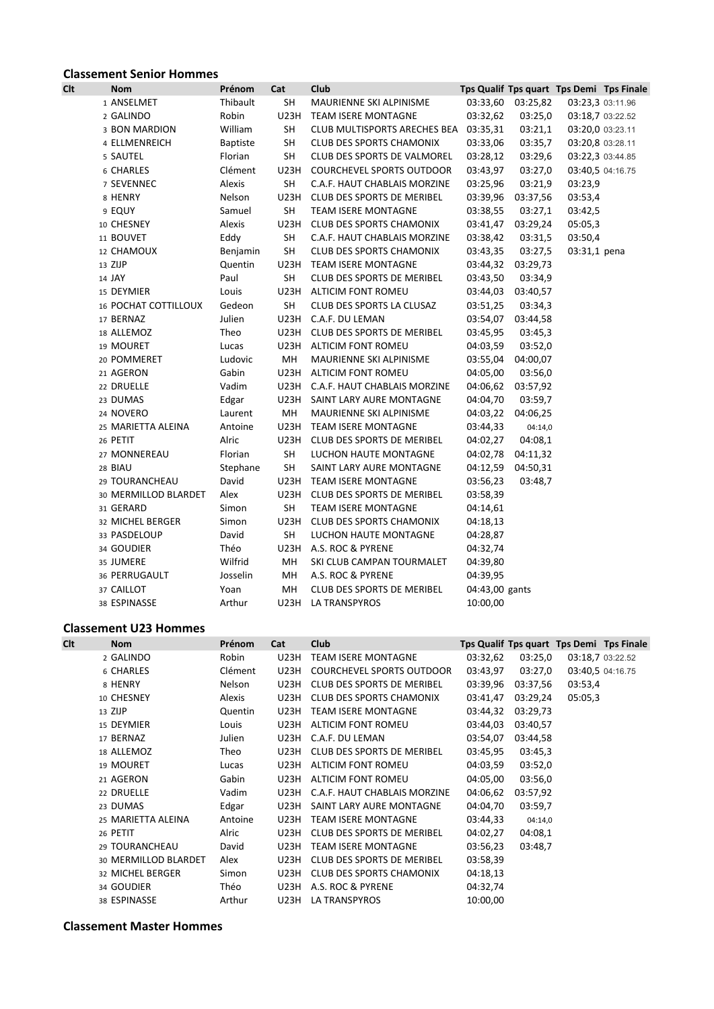## **Classement Senior Hommes**<br>Clt Nom

| <b>Clt</b> | <b>Nom</b>           | Prénom          | Cat         | Club                              |                |                   |              | Tps Qualif Tps quart Tps Demi Tps Finale |
|------------|----------------------|-----------------|-------------|-----------------------------------|----------------|-------------------|--------------|------------------------------------------|
|            | 1 ANSELMET           | Thibault        | SH          | MAURIENNE SKI ALPINISME           |                | 03:33,60 03:25,82 |              | 03:23,3 03:11.96                         |
|            | 2 GALINDO            | Robin           | <b>U23H</b> | <b>TEAM ISERE MONTAGNE</b>        | 03:32,62       | 03:25,0           |              | 03:18,7 03:22.52                         |
|            | 3 BON MARDION        | William         | <b>SH</b>   | CLUB MULTISPORTS ARECHES BEA      | 03:35,31       | 03:21,1           |              | 03:20,0 03:23.11                         |
|            | 4 ELLMENREICH        | <b>Baptiste</b> | SH          | <b>CLUB DES SPORTS CHAMONIX</b>   | 03:33,06       | 03:35,7           |              | 03:20,8 03:28.11                         |
|            | 5 SAUTEL             | Florian         | <b>SH</b>   | CLUB DES SPORTS DE VALMOREL       | 03:28,12       | 03:29,6           |              | 03:22,3 03:44.85                         |
|            | 6 CHARLES            | Clément         | U23H        | COURCHEVEL SPORTS OUTDOOR         | 03:43,97       | 03:27,0           |              | 03:40,5 04:16.75                         |
|            | 7 SEVENNEC           | Alexis          | <b>SH</b>   | C.A.F. HAUT CHABLAIS MORZINE      | 03:25,96       | 03:21,9           | 03:23,9      |                                          |
|            | 8 HENRY              | Nelson          | U23H        | CLUB DES SPORTS DE MERIBEL        |                | 03:39,96 03:37,56 | 03:53,4      |                                          |
|            | 9 EQUY               | Samuel          | <b>SH</b>   | <b>TEAM ISERE MONTAGNE</b>        | 03:38,55       | 03:27,1           | 03:42,5      |                                          |
|            | 10 CHESNEY           | Alexis          |             | U23H CLUB DES SPORTS CHAMONIX     |                | 03:41,47 03:29,24 | 05:05,3      |                                          |
|            | 11 BOUVET            | Eddy            | <b>SH</b>   | C.A.F. HAUT CHABLAIS MORZINE      | 03:38,42       | 03:31,5           | 03:50,4      |                                          |
|            | 12 CHAMOUX           | Benjamin        | SH          | <b>CLUB DES SPORTS CHAMONIX</b>   | 03:43,35       | 03:27,5           | 03:31,1 pena |                                          |
|            | 13 ZIJP              | Quentin         |             | U23H TEAM ISERE MONTAGNE          |                | 03:44,32 03:29,73 |              |                                          |
|            | 14 JAY               | Paul            | SH          | CLUB DES SPORTS DE MERIBEL        | 03:43,50       | 03:34,9           |              |                                          |
|            | 15 DEYMIER           | Louis           |             | U23H ALTICIM FONT ROMEU           |                | 03:44,03 03:40,57 |              |                                          |
|            | 16 POCHAT COTTILLOUX | Gedeon          | SH          | CLUB DES SPORTS LA CLUSAZ         | 03:51,25       | 03:34,3           |              |                                          |
|            | 17 BERNAZ            | Julien          |             | U23H C.A.F. DU LEMAN              |                | 03:54,07 03:44,58 |              |                                          |
|            | 18 ALLEMOZ           | Theo            | U23H        | CLUB DES SPORTS DE MERIBEL        | 03:45,95       | 03:45,3           |              |                                          |
|            | 19 MOURET            | Lucas           | U23H        | ALTICIM FONT ROMEU                | 04:03,59       | 03:52,0           |              |                                          |
|            | 20 POMMERET          | Ludovic         | <b>MH</b>   | MAURIENNE SKI ALPINISME           |                | 03:55,04 04:00,07 |              |                                          |
|            | 21 AGERON            | Gabin           |             | U23H ALTICIM FONT ROMEU           | 04:05,00       | 03:56,0           |              |                                          |
|            | 22 DRUELLE           | Vadim           |             | U23H C.A.F. HAUT CHABLAIS MORZINE |                | 04:06,62 03:57,92 |              |                                          |
|            | 23 DUMAS             | Edgar           |             | U23H SAINT LARY AURE MONTAGNE     | 04:04,70       | 03:59,7           |              |                                          |
|            | 24 NOVERO            | Laurent         | MH          | MAURIENNE SKI ALPINISME           |                | 04:03,22 04:06,25 |              |                                          |
|            | 25 MARIETTA ALEINA   | Antoine         |             | U23H TEAM ISERE MONTAGNE          | 03:44,33       | 04:14,0           |              |                                          |
|            | 26 PETIT             | Alric           | U23H        | CLUB DES SPORTS DE MERIBEL        | 04:02,27       | 04:08,1           |              |                                          |
|            | 27 MONNEREAU         | Florian         | SH          | LUCHON HAUTE MONTAGNE             |                | 04:02,78 04:11,32 |              |                                          |
|            | 28 BIAU              | Stephane        | <b>SH</b>   | SAINT LARY AURE MONTAGNE          |                | 04:12,59 04:50,31 |              |                                          |
|            | 29 TOURANCHEAU       | David           | U23H        | <b>TEAM ISERE MONTAGNE</b>        | 03:56,23       | 03:48,7           |              |                                          |
|            | 30 MERMILLOD BLARDET | Alex            |             | U23H CLUB DES SPORTS DE MERIBEL   | 03:58,39       |                   |              |                                          |
|            | 31 GERARD            | Simon           | <b>SH</b>   | <b>TEAM ISERE MONTAGNE</b>        | 04:14,61       |                   |              |                                          |
|            | 32 MICHEL BERGER     | Simon           | U23H        | <b>CLUB DES SPORTS CHAMONIX</b>   | 04:18,13       |                   |              |                                          |
|            | 33 PASDELOUP         | David           | <b>SH</b>   | LUCHON HAUTE MONTAGNE             | 04:28,87       |                   |              |                                          |
|            | 34 GOUDIER           | Théo            |             | U23H A.S. ROC & PYRENE            | 04:32,74       |                   |              |                                          |
|            | 35 JUMERE            | Wilfrid         | MН          | SKI CLUB CAMPAN TOURMALET         | 04:39,80       |                   |              |                                          |
|            | 36 PERRUGAULT        | Josselin        | MH          | A.S. ROC & PYRENE                 | 04:39,95       |                   |              |                                          |
|            | 37 CAILLOT           | Yoan            | MН          | CLUB DES SPORTS DE MERIBEL        | 04:43,00 gants |                   |              |                                          |
|            | 38 ESPINASSE         | Arthur          | U23H        | <b>LA TRANSPYROS</b>              | 10:00,00       |                   |              |                                          |
|            |                      |                 |             |                                   |                |                   |              |                                          |

# Classement U23 Hommes<br>Clt Nom

| <b>Clt</b> | <b>Nom</b>           | <b>Prénom</b> | Cat         | <b>Club</b>                      |          |          |                  | Tps Qualif Tps quart Tps Demi Tps Finale |
|------------|----------------------|---------------|-------------|----------------------------------|----------|----------|------------------|------------------------------------------|
|            | 2 GALINDO            | Robin         | <b>U23H</b> | <b>TEAM ISERE MONTAGNE</b>       | 03:32,62 | 03:25,0  | 03:18,7 03:22.52 |                                          |
|            | 6 CHARLES            | Clément       | U23H        | <b>COURCHEVEL SPORTS OUTDOOR</b> | 03:43,97 | 03:27,0  |                  | 03:40,5 04:16.75                         |
|            | 8 HENRY              | Nelson        | U23H        | CLUB DES SPORTS DE MERIBEL       | 03:39,96 | 03:37,56 | 03:53,4          |                                          |
|            | 10 CHESNEY           | Alexis        | U23H        | CLUB DES SPORTS CHAMONIX         | 03:41,47 | 03:29,24 | 05:05,3          |                                          |
|            | 13 ZIJP              | Quentin       | <b>U23H</b> | <b>TEAM ISERE MONTAGNE</b>       | 03:44,32 | 03:29,73 |                  |                                          |
|            | 15 DEYMIER           | Louis         | U23H        | ALTICIM FONT ROMEU               | 03:44,03 | 03:40,57 |                  |                                          |
|            | 17 BERNAZ            | Julien        |             | U23H C.A.F. DU LEMAN             | 03:54,07 | 03:44,58 |                  |                                          |
|            | 18 ALLEMOZ           | Theo          | U23H        | CLUB DES SPORTS DE MERIBEL       | 03:45,95 | 03:45,3  |                  |                                          |
|            | 19 MOURET            | Lucas         | U23H        | ALTICIM FONT ROMEU               | 04:03,59 | 03:52,0  |                  |                                          |
|            | 21 AGERON            | Gabin         | U23H        | ALTICIM FONT ROMEU               | 04:05,00 | 03:56,0  |                  |                                          |
|            | 22 DRUELLE           | Vadim         | U23H        | C.A.F. HAUT CHABLAIS MORZINE     | 04:06,62 | 03:57,92 |                  |                                          |
|            | 23 DUMAS             | Edgar         | U23H        | SAINT LARY AURE MONTAGNE         | 04:04,70 | 03:59,7  |                  |                                          |
|            | 25 MARIETTA ALEINA   | Antoine       | U23H        | <b>TEAM ISERE MONTAGNE</b>       | 03:44,33 | 04:14,0  |                  |                                          |
|            | 26 PETIT             | Alric         | U23H        | CLUB DES SPORTS DE MERIBEL       | 04:02,27 | 04:08,1  |                  |                                          |
|            | 29 TOURANCHEAU       | David         | <b>U23H</b> | <b>TEAM ISERE MONTAGNE</b>       | 03:56,23 | 03:48,7  |                  |                                          |
|            | 30 MERMILLOD BLARDET | Alex          | U23H        | CLUB DES SPORTS DE MERIBEL       | 03:58,39 |          |                  |                                          |
|            | 32 MICHEL BERGER     | Simon         | U23H        | <b>CLUB DES SPORTS CHAMONIX</b>  | 04:18,13 |          |                  |                                          |
|            | 34 GOUDIER           | Théo          | U23H        | A.S. ROC & PYRENE                | 04:32,74 |          |                  |                                          |
|            | 38 ESPINASSE         | Arthur        |             | U23H LA TRANSPYROS               | 10:00,00 |          |                  |                                          |

Classement Master Hommes